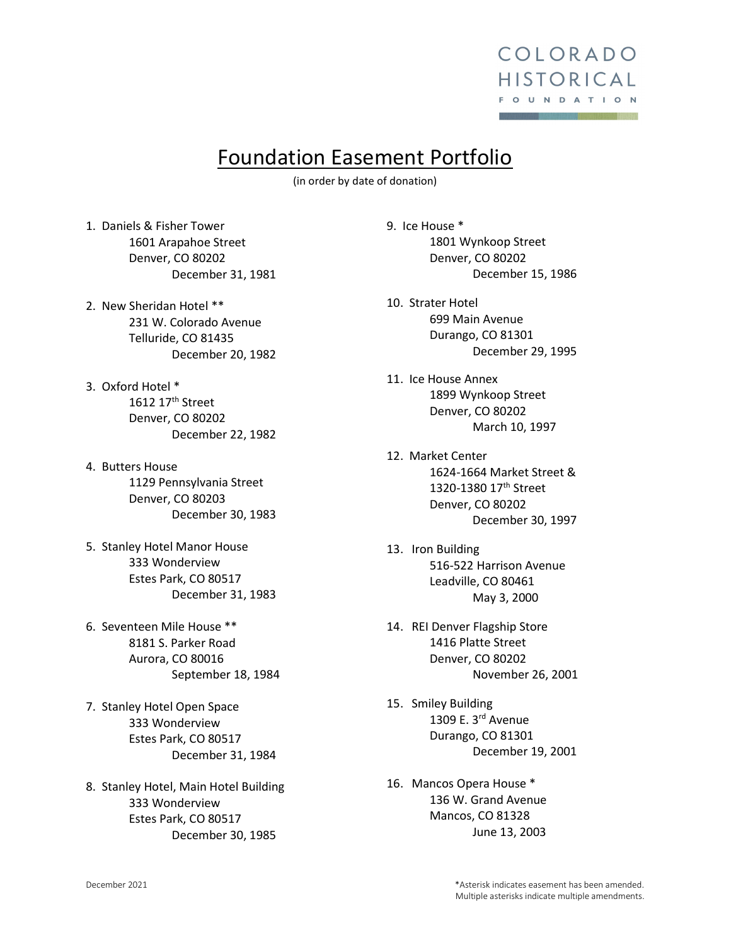

# Foundation Easement Portfolio

(in order by date of donation)

1. Daniels & Fisher Tower 1601 Arapahoe Street Denver, CO 80202 December 31, 1981

- 2. New Sheridan Hotel \*\* 231 W. Colorado Avenue Telluride, CO 81435 December 20, 1982
- 3. Oxford Hotel \* 1612 17th Street Denver, CO 80202 December 22, 1982
- 4. Butters House 1129 Pennsylvania Street Denver, CO 80203 December 30, 1983
- 5. Stanley Hotel Manor House 333 Wonderview Estes Park, CO 80517 December 31, 1983
- 6. Seventeen Mile House \*\* 8181 S. Parker Road Aurora, CO 80016 September 18, 1984
- 7. Stanley Hotel Open Space 333 Wonderview Estes Park, CO 80517 December 31, 1984

8. Stanley Hotel, Main Hotel Building 333 Wonderview Estes Park, CO 80517 December 30, 1985

9. Ice House \* 1801 Wynkoop Street Denver, CO 80202 December 15, 1986

- 10. Strater Hotel 699 Main Avenue Durango, CO 81301 December 29, 1995
- 11. Ice House Annex 1899 Wynkoop Street Denver, CO 80202 March 10, 1997
- 12. Market Center 1624-1664 Market Street & 1320-1380 17th Street Denver, CO 80202 December 30, 1997
- 13. Iron Building 516-522 Harrison Avenue Leadville, CO 80461 May 3, 2000
- 14. REI Denver Flagship Store 1416 Platte Street Denver, CO 80202 November 26, 2001
- 15. Smiley Building 1309 E. 3rd Avenue Durango, CO 81301 December 19, 2001
- 16. Mancos Opera House \* 136 W. Grand Avenue Mancos, CO 81328 June 13, 2003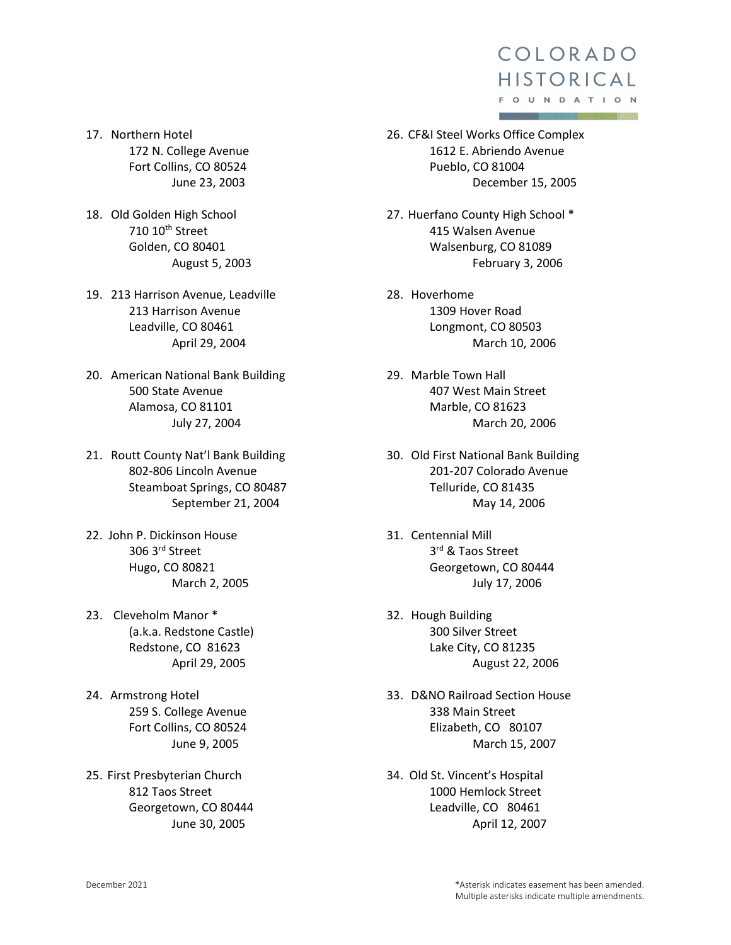- 17. Northern Hotel 172 N. College Avenue Fort Collins, CO 80524 June 23, 2003
- 18. Old Golden High School 710 10th Street Golden, CO 80401 August 5, 2003
- 19. 213 Harrison Avenue, Leadville 213 Harrison Avenue Leadville, CO 80461 April 29, 2004
- 20. American National Bank Building 500 State Avenue Alamosa, CO 81101 July 27, 2004
- 21. Routt County Nat'l Bank Building 802-806 Lincoln Avenue Steamboat Springs, CO 80487 September 21, 2004
- 22. John P. Dickinson House 306 3rd Street Hugo, CO 80821 March 2, 2005
- 23. Cleveholm Manor \* (a.k.a. Redstone Castle) Redstone, CO 81623 April 29, 2005
- 24. Armstrong Hotel 259 S. College Avenue Fort Collins, CO 80524 June 9, 2005
- 25. First Presbyterian Church 812 Taos Street Georgetown, CO 80444 June 30, 2005
- 26. CF&I Steel Works Office Complex 1612 E. Abriendo Avenue Pueblo, CO 81004 December 15, 2005
- 27. Huerfano County High School \* 415 Walsen Avenue Walsenburg, CO 81089 February 3, 2006
- 28. Hoverhome 1309 Hover Road Longmont, CO 80503 March 10, 2006
- 29. Marble Town Hall 407 West Main Street Marble, CO 81623 March 20, 2006
- 30. Old First National Bank Building 201-207 Colorado Avenue Telluride, CO 81435 May 14, 2006
- 31. Centennial Mill 3rd & Taos Street Georgetown, CO 80444 July 17, 2006
- 32. Hough Building 300 Silver Street Lake City, CO 81235 August 22, 2006
- 33. D&NO Railroad Section House 338 Main Street Elizabeth, CO 80107 March 15, 2007
- 34. Old St. Vincent's Hospital 1000 Hemlock Street Leadville, CO 80461 April 12, 2007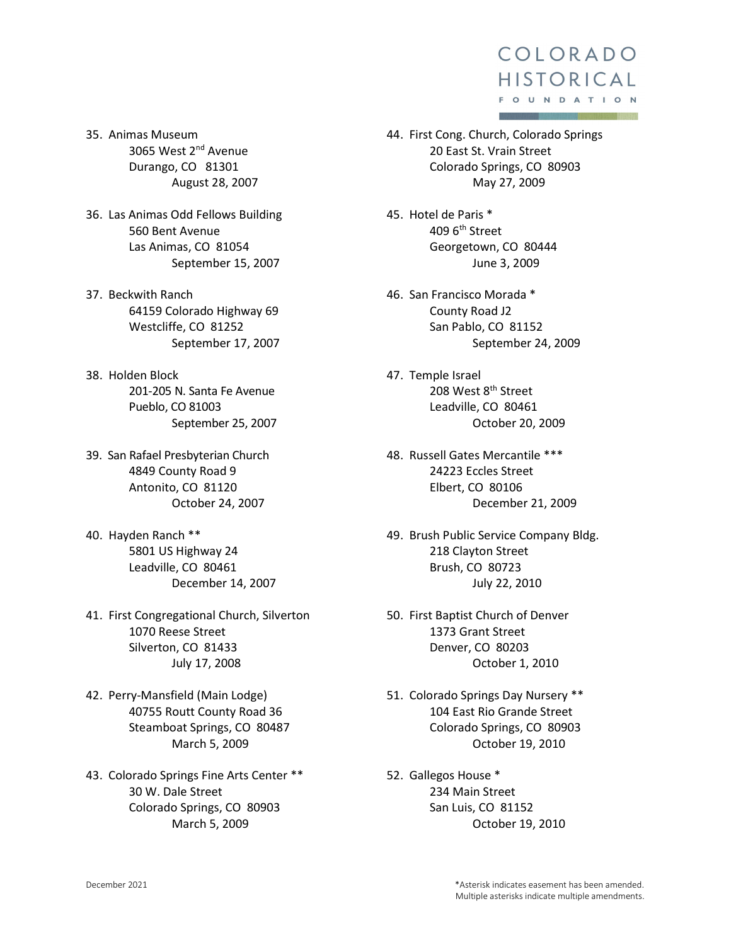35. Animas Museum 3065 West 2nd Avenue Durango, CO 81301 August 28, 2007

- 36. Las Animas Odd Fellows Building 560 Bent Avenue Las Animas, CO 81054 September 15, 2007
- 37. Beckwith Ranch 64159 Colorado Highway 69 Westcliffe, CO 81252 September 17, 2007
- 38. Holden Block 201-205 N. Santa Fe Avenue Pueblo, CO 81003 September 25, 2007
- 39. San Rafael Presbyterian Church 4849 County Road 9 Antonito, CO 81120 October 24, 2007
- 40. Hayden Ranch \*\* 5801 US Highway 24 Leadville, CO 80461 December 14, 2007
- 41. First Congregational Church, Silverton 1070 Reese Street Silverton, CO 81433 July 17, 2008
- 42. Perry-Mansfield (Main Lodge) 40755 Routt County Road 36 Steamboat Springs, CO 80487 March 5, 2009
- 43. Colorado Springs Fine Arts Center \*\* 30 W. Dale Street Colorado Springs, CO 80903 March 5, 2009
- 44. First Cong. Church, Colorado Springs 20 East St. Vrain Street Colorado Springs, CO 80903 May 27, 2009
- 45. Hotel de Paris \* 409 6th Street Georgetown, CO 80444 June 3, 2009
- 46. San Francisco Morada \* County Road J2 San Pablo, CO 81152 September 24, 2009
- 47. Temple Israel 208 West 8<sup>th</sup> Street Leadville, CO 80461 October 20, 2009
- 48. Russell Gates Mercantile \*\*\* 24223 Eccles Street Elbert, CO 80106 December 21, 2009
- 49. Brush Public Service Company Bldg. 218 Clayton Street Brush, CO 80723 July 22, 2010
- 50. First Baptist Church of Denver 1373 Grant Street Denver, CO 80203 October 1, 2010
- 51. Colorado Springs Day Nursery \*\* 104 East Rio Grande Street Colorado Springs, CO 80903 October 19, 2010
- 52. Gallegos House \* 234 Main Street San Luis, CO 81152 October 19, 2010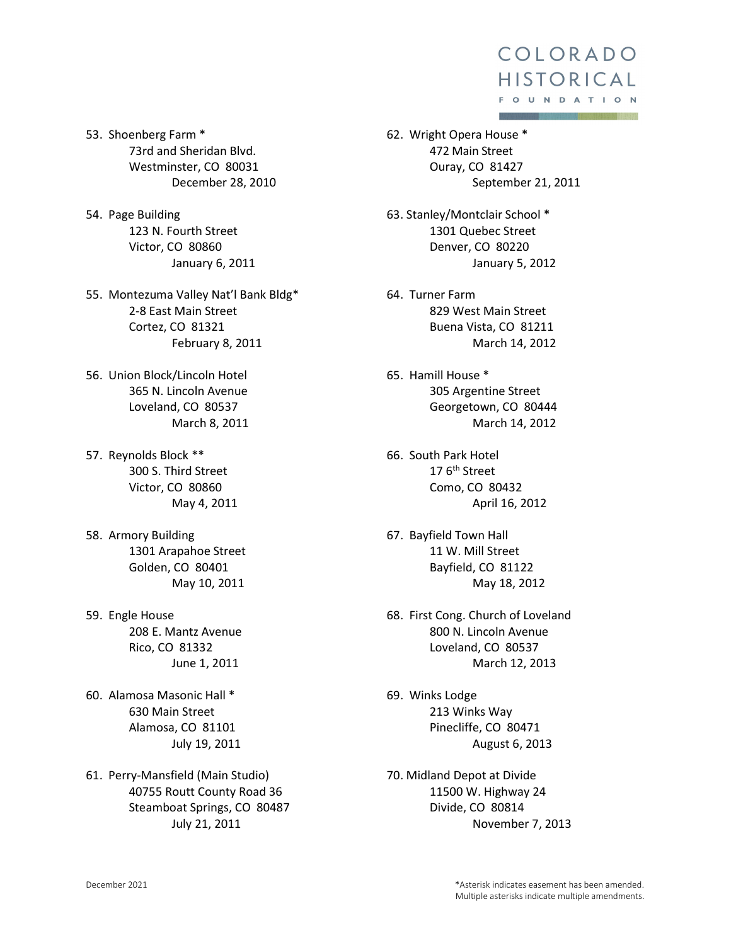53. Shoenberg Farm \* 73rd and Sheridan Blvd. Westminster, CO 80031 December 28, 2010

54. Page Building 123 N. Fourth Street Victor, CO 80860 January 6, 2011

55. Montezuma Valley Nat'l Bank Bldg\* 2-8 East Main Street Cortez, CO 81321 February 8, 2011

- 56. Union Block/Lincoln Hotel 365 N. Lincoln Avenue Loveland, CO 80537 March 8, 2011
- 57. Reynolds Block \*\* 300 S. Third Street Victor, CO 80860 May 4, 2011
- 58. Armory Building 1301 Arapahoe Street Golden, CO 80401 May 10, 2011
- 59. Engle House 208 E. Mantz Avenue Rico, CO 81332 June 1, 2011
- 60. Alamosa Masonic Hall \* 630 Main Street Alamosa, CO 81101 July 19, 2011
- 61. Perry-Mansfield (Main Studio) 40755 Routt County Road 36 Steamboat Springs, CO 80487 July 21, 2011
- 62. Wright Opera House \* 472 Main Street Ouray, CO 81427 September 21, 2011
- 63. Stanley/Montclair School \* 1301 Quebec Street Denver, CO 80220 January 5, 2012
- 64. Turner Farm 829 West Main Street Buena Vista, CO 81211 March 14, 2012
- 65. Hamill House \* 305 Argentine Street Georgetown, CO 80444 March 14, 2012
- 66. South Park Hotel  $176<sup>th</sup>$  Street Como, CO 80432 April 16, 2012
- 67. Bayfield Town Hall 11 W. Mill Street Bayfield, CO 81122 May 18, 2012
- 68. First Cong. Church of Loveland 800 N. Lincoln Avenue Loveland, CO 80537 March 12, 2013
- 69. Winks Lodge 213 Winks Way Pinecliffe, CO 80471 August 6, 2013
- 70. Midland Depot at Divide 11500 W. Highway 24 Divide, CO 80814 November 7, 2013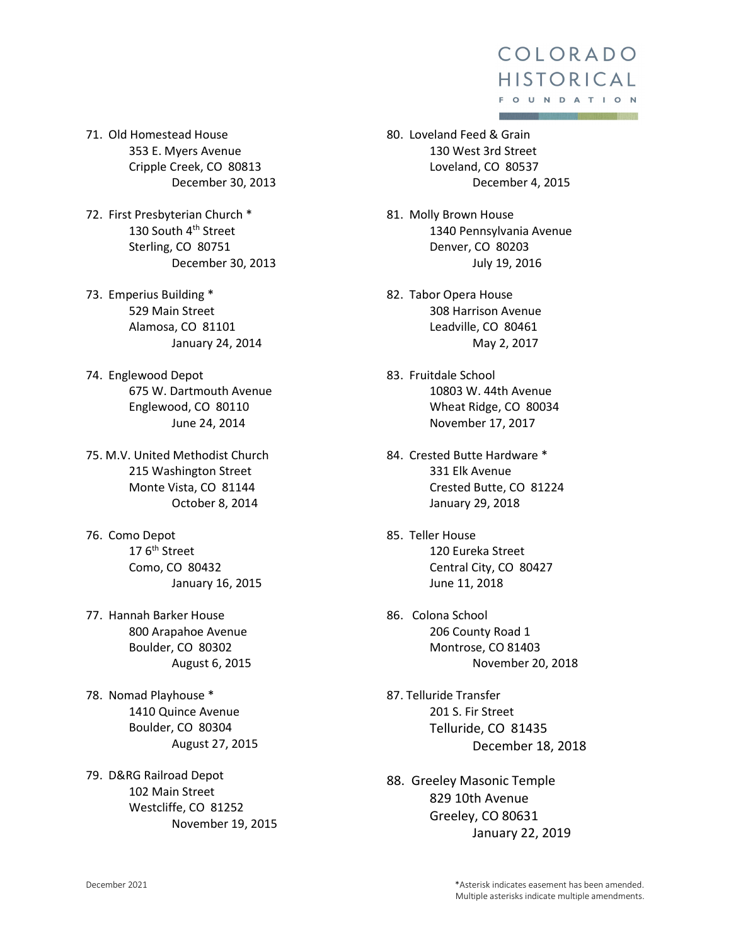- 71. Old Homestead House 353 E. Myers Avenue Cripple Creek, CO 80813 December 30, 2013
- 72. First Presbyterian Church \* 130 South 4<sup>th</sup> Street Sterling, CO 80751 December 30, 2013
- 73. Emperius Building \* 529 Main Street Alamosa, CO 81101 January 24, 2014
- 74. Englewood Depot 675 W. Dartmouth Avenue Englewood, CO 80110 June 24, 2014
- 75. M.V. United Methodist Church 215 Washington Street Monte Vista, CO 81144 October 8, 2014
- 76. Como Depot  $176<sup>th</sup>$  Street Como, CO 80432 January 16, 2015
- 77. Hannah Barker House 800 Arapahoe Avenue Boulder, CO 80302 August 6, 2015
- 78. Nomad Playhouse \* 1410 Quince Avenue Boulder, CO 80304 August 27, 2015
- 79. D&RG Railroad Depot 102 Main Street Westcliffe, CO 81252 November 19, 2015
- 80. Loveland Feed & Grain 130 West 3rd Street Loveland, CO 80537 December 4, 2015
- 81. Molly Brown House 1340 Pennsylvania Avenue Denver, CO 80203 July 19, 2016
- 82. Tabor Opera House 308 Harrison Avenue Leadville, CO 80461 May 2, 2017
- 83. Fruitdale School 10803 W. 44th Avenue Wheat Ridge, CO 80034 November 17, 2017
- 84. Crested Butte Hardware \* 331 Elk Avenue Crested Butte, CO 81224 January 29, 2018
- 85. Teller House 120 Eureka Street Central City, CO 80427 June 11, 2018
- 86. Colona School 206 County Road 1 Montrose, CO 81403 November 20, 2018
- 87. Telluride Transfer 201 S. Fir Street Telluride, CO 81435 December 18, 2018
- 88. Greeley Masonic Temple 829 10th Avenue Greeley, CO 80631 January 22, 2019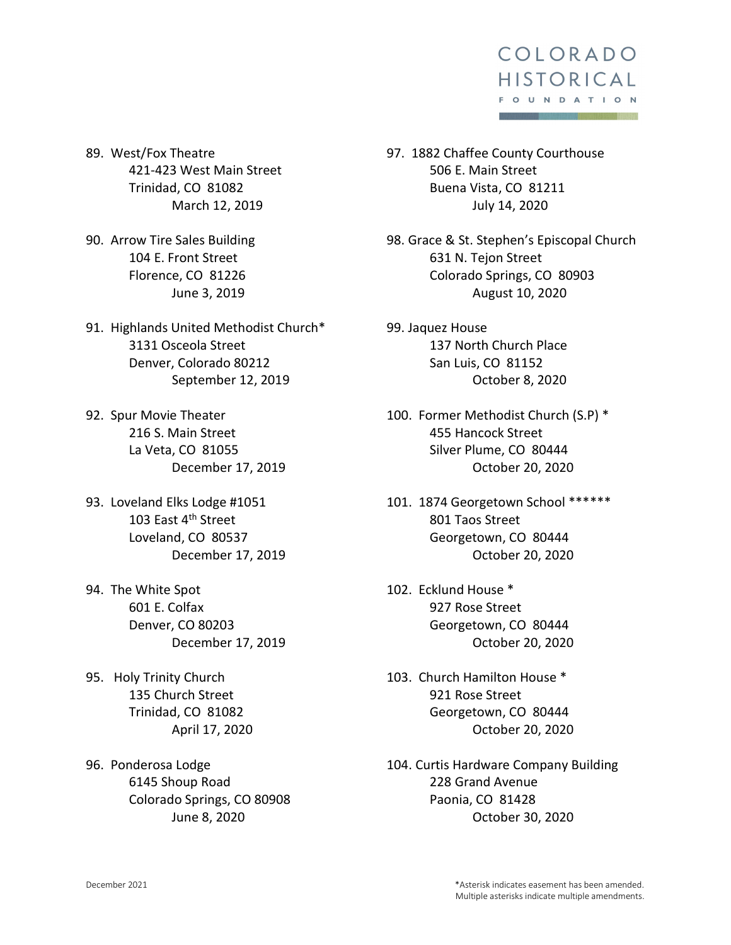

89. West/Fox Theatre 421-423 West Main Street Trinidad, CO 81082 March 12, 2019

90. Arrow Tire Sales Building 104 E. Front Street Florence, CO 81226 June 3, 2019

91. Highlands United Methodist Church\* 3131 Osceola Street Denver, Colorado 80212 September 12, 2019

92. Spur Movie Theater 216 S. Main Street La Veta, CO 81055 December 17, 2019

93. Loveland Elks Lodge #1051 103 East 4<sup>th</sup> Street Loveland, CO 80537 December 17, 2019

94. The White Spot 601 E. Colfax Denver, CO 80203 December 17, 2019

95. Holy Trinity Church 135 Church Street Trinidad, CO 81082 April 17, 2020

96. Ponderosa Lodge 6145 Shoup Road Colorado Springs, CO 80908 June 8, 2020

97. 1882 Chaffee County Courthouse 506 E. Main Street Buena Vista, CO 81211 July 14, 2020

98. Grace & St. Stephen's Episcopal Church 631 N. Tejon Street Colorado Springs, CO 80903 August 10, 2020

99. Jaquez House 137 North Church Place San Luis, CO 81152 October 8, 2020

100. Former Methodist Church (S.P) \* 455 Hancock Street Silver Plume, CO 80444 October 20, 2020

101. 1874 Georgetown School \*\*\*\*\*\* 801 Taos Street Georgetown, CO 80444 October 20, 2020

102. Ecklund House \* 927 Rose Street Georgetown, CO 80444 October 20, 2020

103. Church Hamilton House \* 921 Rose Street Georgetown, CO 80444 October 20, 2020

104. Curtis Hardware Company Building 228 Grand Avenue Paonia, CO 81428 October 30, 2020